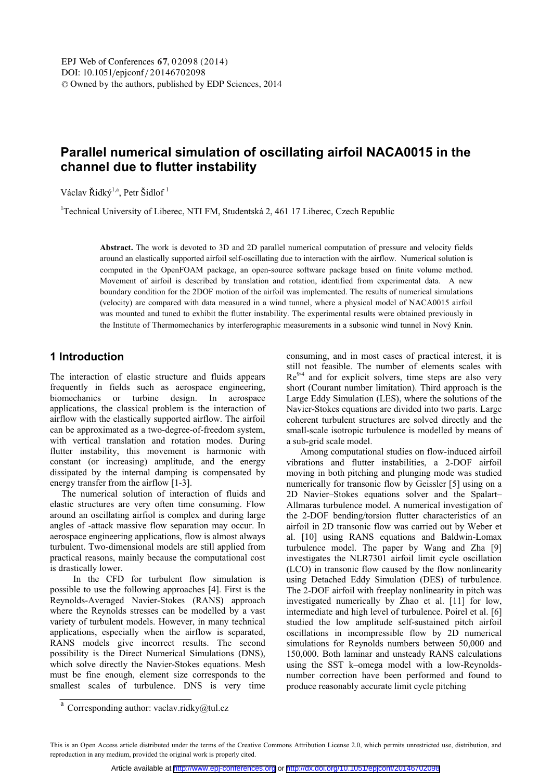# **Parallel numerical simulation of oscillating airfoil NACA0015 in the channel due to flutter instability**

Václav Řidký<sup>1,a</sup>, Petr Šidlof<sup>1</sup>

<sup>1</sup>Technical University of Liberec, NTI FM, Studentská 2, 461 17 Liberec, Czech Republic

**Abstract.** The work is devoted to 3D and 2D parallel numerical computation of pressure and velocity fields around an elastically supported airfoil self-oscillating due to interaction with the airflow. Numerical solution is computed in the OpenFOAM package, an open-source software package based on finite volume method. Movement of airfoil is described by translation and rotation, identified from experimental data. A new boundary condition for the 2DOF motion of the airfoil was implemented. The results of numerical simulations (velocity) are compared with data measured in a wind tunnel, where a physical model of NACA0015 airfoil was mounted and tuned to exhibit the flutter instability. The experimental results were obtained previously in the Institute of Thermomechanics by interferographic measurements in a subsonic wind tunnel in Nový Knín.

# **1 Introduction**

The interaction of elastic structure and fluids appears frequently in fields such as aerospace engineering, biomechanics or turbine design. In aerospace applications, the classical problem is the interaction of airflow with the elastically supported airflow. The airfoil can be approximated as a two-degree-of-freedom system, with vertical translation and rotation modes. During flutter instability, this movement is harmonic with constant (or increasing) amplitude, and the energy dissipated by the internal damping is compensated by energy transfer from the airflow [1-3].

 The numerical solution of interaction of fluids and elastic structures are very often time consuming. Flow around an oscillating airfiol is complex and during large angles of -attack massive flow separation may occur. In aerospace engineering applications, flow is almost always turbulent. Two-dimensional models are still applied from practical reasons, mainly because the computational cost is drastically lower.

 In the CFD for turbulent flow simulation is possible to use the following approaches [4]. First is the Reynolds-Averaged Navier-Stokes (RANS) approach where the Reynolds stresses can be modelled by a vast variety of turbulent models. However, in many technical applications, especially when the airflow is separated, RANS models give incorrect results. The second possibility is the Direct Numerical Simulations (DNS), which solve directly the Navier-Stokes equations. Mesh must be fine enough, element size corresponds to the smallest scales of turbulence. DNS is very time consuming, and in most cases of practical interest, it is still not feasible. The number of elements scales with  $Re<sup>9/4</sup>$  and for explicit solvers, time steps are also very short (Courant number limitation). Third approach is the Large Eddy Simulation (LES), where the solutions of the Navier-Stokes equations are divided into two parts. Large coherent turbulent structures are solved directly and the small-scale isotropic turbulence is modelled by means of a sub-grid scale model.

 Among computational studies on flow-induced airfoil vibrations and flutter instabilities, a 2-DOF airfoil moving in both pitching and plunging mode was studied numerically for transonic flow by Geissler [5] using on a 2D Navier–Stokes equations solver and the Spalart– Allmaras turbulence model. A numerical investigation of the 2-DOF bending/torsion flutter characteristics of an airfoil in 2D transonic flow was carried out by Weber et al. [10] using RANS equations and Baldwin-Lomax turbulence model. The paper by Wang and Zha [9] investigates the NLR7301 airfoil limit cycle oscillation (LCO) in transonic flow caused by the flow nonlinearity using Detached Eddy Simulation (DES) of turbulence. The 2-DOF airfoil with freeplay nonlinearity in pitch was investigated numerically by Zhao et al. [11] for low, intermediate and high level of turbulence. Poirel et al. [6] studied the low amplitude self-sustained pitch airfoil oscillations in incompressible flow by 2D numerical simulations for Reynolds numbers between 50,000 and 150,000. Both laminar and unsteady RANS calculations using the SST k–omega model with a low-Reynoldsnumber correction have been performed and found to produce reasonably accurate limit cycle pitching

<sup>&</sup>lt;sup>a</sup> Corresponding author: vaclav.ridky@tul.cz

This is an Open Access article distributed under the terms of the Creative Commons Attribution License 2.0, which permits unrestricted use, distribution, and reproduction in any medium, provided the original work is properly cited.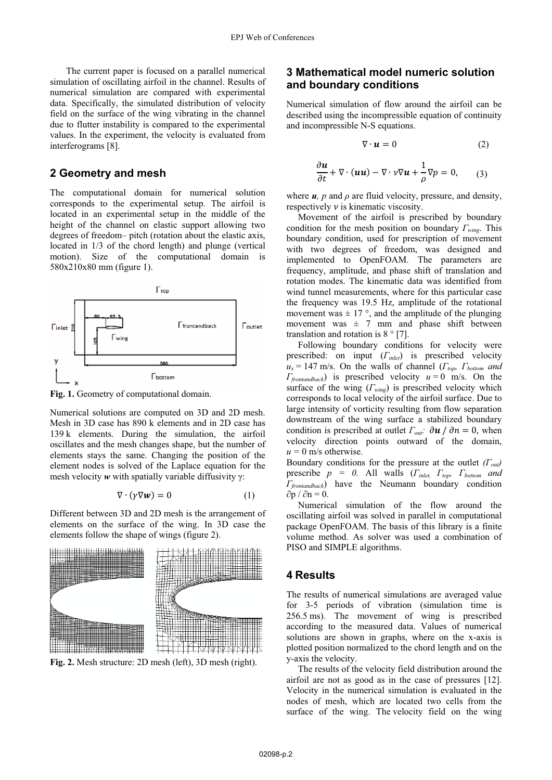The current paper is focused on a parallel numerical simulation of oscillating airfoil in the channel. Results of numerical simulation are compared with experimental data. Specifically, the simulated distribution of velocity field on the surface of the wing vibrating in the channel due to flutter instability is compared to the experimental values. In the experiment, the velocity is evaluated from interferograms [8].

## **2 Geometry and mesh**

The computational domain for numerical solution corresponds to the experimental setup. The airfoil is located in an experimental setup in the middle of the height of the channel on elastic support allowing two degrees of freedom– pitch (rotation about the elastic axis, located in 1/3 of the chord length) and plunge (vertical motion). Size of the computational domain is 580x210x80 mm (figure 1).



**Fig. 1.** Geometry of computational domain.

Numerical solutions are computed on 3D and 2D mesh. Mesh in 3D case has 890 k elements and in 2D case has 139 k elements. During the simulation, the airfoil oscillates and the mesh changes shape, but the number of elements stays the same. Changing the position of the element nodes is solved of the Laplace equation for the mesh velocity *w* with spatially variable diffusivity γ:

$$
\nabla \cdot (\gamma \nabla \mathbf{w}) = 0 \tag{1}
$$

Different between 3D and 2D mesh is the arrangement of elements on the surface of the wing. In 3D case the elements follow the shape of wings (figure 2).



**Fig. 2.** Mesh structure: 2D mesh (left), 3D mesh (right).

## **3 Mathematical model numeric solution and boundary conditions**

Numerical simulation of flow around the airfoil can be described using the incompressible equation of continuity and incompressible N-S equations.

$$
\nabla \cdot \mathbf{u} = 0 \tag{2}
$$

$$
\frac{\partial \boldsymbol{u}}{\partial t} + \nabla \cdot (\boldsymbol{u} \boldsymbol{u}) - \nabla \cdot \boldsymbol{v} \nabla \boldsymbol{u} + \frac{1}{\rho} \nabla p = 0, \qquad (3)
$$

where  $u$ ,  $p$  and  $\rho$  are fluid velocity, pressure, and density, respectively  $\nu$  is kinematic viscosity.

 Movement of the airfoil is prescribed by boundary condition for the mesh position on boundary *Γwing*. This boundary condition, used for prescription of movement with two degrees of freedom, was designed and implemented to OpenFOAM. The parameters are frequency, amplitude, and phase shift of translation and rotation modes. The kinematic data was identified from wind tunnel measurements, where for this particular case the frequency was 19.5 Hz, amplitude of the rotational movement was  $\pm$  17 °, and the amplitude of the plunging movement was  $\pm$  7 mm and phase shift between translation and rotation is  $8°$  [7].

 Following boundary conditions for velocity were prescribed: on input (*Γinlet*) is prescribed velocity  $u_x = 147$  m/s. On the walls of channel ( $\Gamma_{top}$ ,  $\Gamma_{bottom}$  and *Γfrontandback*) is prescribed velocity *u* = 0 m/s. On the surface of the wing (*Γwing*) is prescribed velocity which corresponds to local velocity of the airfoil surface. Due to large intensity of vorticity resulting from flow separation downstream of the wing surface a stabilized boundary condition is prescribed at outlet  $\Gamma_{out}$ :  $\partial u / \partial n = 0$ , when velocity direction points outward of the domain,  $u = 0$  m/s otherwise.

Boundary conditions for the pressure at the outlet *(Γout)* prescribe *p = 0.* All walls (*Γinlet, Γtop, Γbottom and Γfrontandback*) have the Neumann boundary condition  $\partial p / \partial n = 0$ .

 Numerical simulation of the flow around the oscillating airfoil was solved in parallel in computational package OpenFOAM. The basis of this library is a finite volume method. As solver was used a combination of PISO and SIMPLE algorithms.

## **4 Results**

The results of numerical simulations are averaged value for 3-5 periods of vibration (simulation time is 256.5 ms). The movement of wing is prescribed according to the measured data. Values of numerical solutions are shown in graphs, where on the x-axis is plotted position normalized to the chord length and on the y-axis the velocity.

 The results of the velocity field distribution around the airfoil are not as good as in the case of pressures [12]. Velocity in the numerical simulation is evaluated in the nodes of mesh, which are located two cells from the surface of the wing. The velocity field on the wing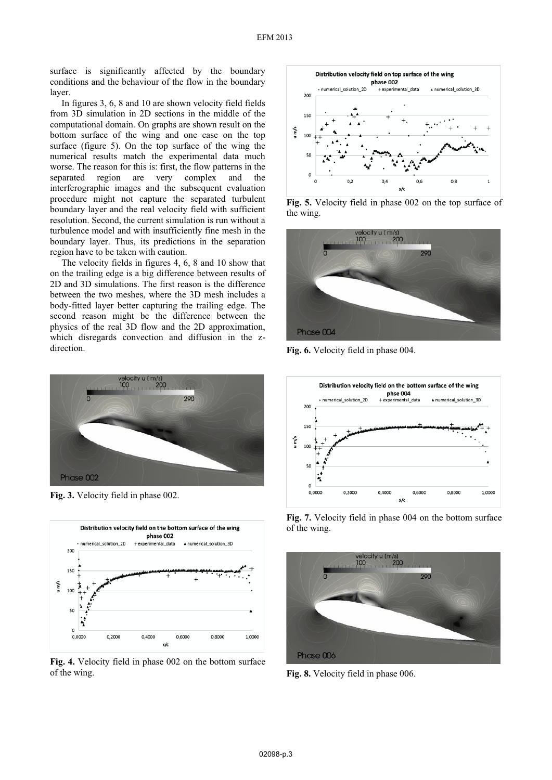surface is significantly affected by the boundary conditions and the behaviour of the flow in the boundary layer.

 In figures 3, 6, 8 and 10 are shown velocity field fields from 3D simulation in 2D sections in the middle of the computational domain. On graphs are shown result on the bottom surface of the wing and one case on the top surface (figure 5). On the top surface of the wing the numerical results match the experimental data much worse. The reason for this is: first, the flow patterns in the separated region are very complex and the interferographic images and the subsequent evaluation procedure might not capture the separated turbulent boundary layer and the real velocity field with sufficient resolution. Second, the current simulation is run without a turbulence model and with insufficiently fine mesh in the boundary layer. Thus, its predictions in the separation region have to be taken with caution.

 The velocity fields in figures 4, 6, 8 and 10 show that on the trailing edge is a big difference between results of 2D and 3D simulations. The first reason is the difference between the two meshes, where the 3D mesh includes a body-fitted layer better capturing the trailing edge. The second reason might be the difference between the physics of the real 3D flow and the 2D approximation, which disregards convection and diffusion in the zdirection.



**Fig. 3.** Velocity field in phase 002.



**Fig. 4.** Velocity field in phase 002 on the bottom surface of the wing.



**Fig. 5.** Velocity field in phase 002 on the top surface of the wing.



**Fig. 6.** Velocity field in phase 004.



**Fig. 7.** Velocity field in phase 004 on the bottom surface of the wing.



**Fig. 8.** Velocity field in phase 006.